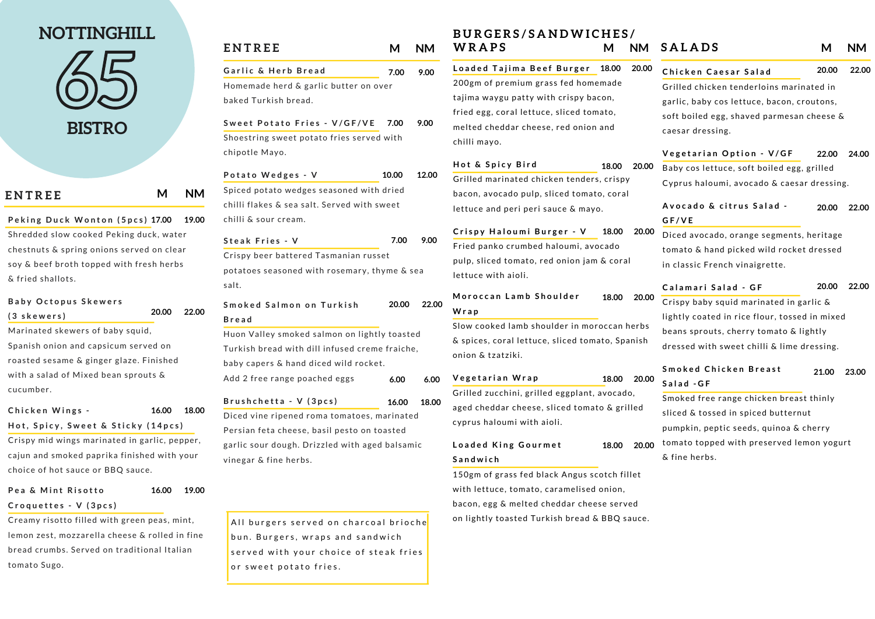baked Turkish bread.

| Garlic & Herb Bread                   | 7.00 9.00 |  |
|---------------------------------------|-----------|--|
| Homemade herd & garlic butter on over |           |  |
|                                       |           |  |

**S w e e t P o t a t o F r i e s - V / G F / V E** Shoestring sweet potato fries served with chipotle Mayo. **7.00 9.00**

**P o t a t o W e d g e s - V** Spiced potato wedges seasoned with dried chilli flakes & sea salt. Served with sweet chilli & sour cream. **10.00 12.00**

| <b>ENTREE</b> | M NM |
|---------------|------|
|               |      |

**C r o q u e t t e s - V ( 3 p c s )**

**S m o k e d S a l m o n o n T u r k i s h B r e a d 20.00 22.00**

Creamy risotto filled with green peas, mint, lemon zest, mozzarella cheese & rolled in fine bread crumbs. Served on traditional Italian tomato Sugo.

Huon Valley smoked salmon on lightly toasted Turkish bread with dill infused creme fraiche, baby capers & hand diced wild rocket. Add 2 free range poached eggs **6.00**

**S t e a k F r i e s - V** Crispy beer battered Tasmanian russet potatoes seasoned with rosemary, thyme & sea salt. **7.00 9.00**

**B r u s h c h e t t a - V ( 3 p c s )** Diced vine ripened roma tomatoes, marinated Persian feta cheese, basil pesto on toasted garlic sour dough. Drizzled with aged balsamic vinegar & fine herbs. **16.00 18.00**

All burgers served on charcoal brioche bun. Burgers, wraps and sandwich served with your choice of steak fries or sweet potato fries.

**P e k i n g D u c k W o n t o n ( 5 p c s ) 17.00 19.00** Shredded slow cooked Peking duck, water chestnuts & spring onions served on clear soy & beef broth topped with fresh herbs & fried shallots.

### **B a b y O c t o p u s S k e w e r s ( 3 s k e w e r s )**

**P e a & M i n t R i s o t t o 16.00 19.00**

Marinated skewers of baby squid, Spanish onion and capsicum served on roasted sesame & ginger glaze. Finished with a salad of Mixed bean sprouts & cucumber.

#### **C h i c k e n W i n g s -** Hot, Spicy, Sweet & Sticky (14pcs) **16.00 18.00**

Crispy mid wings marinated in garlic, pepper, cajun and smoked paprika finished with your choice of hot sauce or BBQ sauce.

**20.00 22.00**

# **NOTTINGHILL**

**65 BISTRO**

## **B U R G E R S / S A N D W I C H E S / W R A P S M NM**

**L o a d e d T a j i m a B e e f B u r g e r 18.00 20.00** 200gm of premium grass fed homemade tajima waygu patty with crispy bacon, fried egg, coral lettuce, sliced tomato, melted cheddar cheese, red onion and chilli mayo.

**H o t & S p i c y B i r d** Grilled marinated chicken tenders, crispy bacon, avocado pulp, sliced tomato, coral lettuce and peri peri sauce & mayo. **18.00 20.00**

**C r i s p y H a l o u m i B u r g e r - V 18.00 20.00** Fried panko crumbed haloumi, avocado pulp, sliced tomato, red onion jam & coral lettuce with aioli.

Slow cooked lamb shoulder in moroccan herbs & spices, coral lettuce, sliced tomato, Spanish onion & tzatziki.

**M o r o c c a n L a m b S h o u l d e r W ra p 18.00 20.00**

#### **L o a d e d K in g G o u r m e t S a n d w ic h 18.00 20.00**

150gm of grass fed black Angus scotch fillet with lettuce, tomato, caramelised onion, bacon, egg & melted cheddar cheese served on lightly toasted Turkish bread & BBQ sauce.

| <b>ENTREE</b> | <b>NM</b> |
|---------------|-----------|
|               |           |

**V e g e t a r i a n W ra p** Grilled zucchini, grilled eggplant, avocado, aged cheddar cheese, sliced tomato & grilled cyprus haloumi with aioli. **18.00 20.00 6.00**

| <b>SALADS</b>                                 | M     | NΜ    |
|-----------------------------------------------|-------|-------|
| Chicken Caesar Salad                          | 20.00 | 22.00 |
| Grilled chicken tenderloins marinated in      |       |       |
| garlic, baby cos lettuce, bacon, croutons,    |       |       |
| soft boiled egg, shaved parmesan cheese &     |       |       |
| caesar dressing.                              |       |       |
| Vegetarian Option - V/GF                      | 22.00 | 24.00 |
| Baby cos lettuce, soft boiled egg, grilled    |       |       |
| Cyprus haloumi, avocado & caesar dressing.    |       |       |
| Avocado & citrus Salad -                      | 20.00 | 22.00 |
| GF/VE                                         |       |       |
| Diced avocado, orange segments, heritage      |       |       |
| tomato & hand picked wild rocket dressed      |       |       |
| in classic French vinaigrette.                |       |       |
| Calamari Salad - GF                           | 20.00 | 22.00 |
| Crispy baby squid marinated in garlic &       |       |       |
| lightly coated in rice flour, tossed in mixed |       |       |
| beans sprouts, cherry tomato & lightly        |       |       |
| dressed with sweet chilli & lime dressing.    |       |       |
| <b>Smoked Chicken Breast</b>                  | 21.00 | 23.00 |
| Salad - GF                                    |       |       |
| Smoked free range chicken breast thinly       |       |       |
| sliced & tossed in spiced butternut           |       |       |
| pumpkin, peptic seeds, quinoa & cherry        |       |       |
| tomato topped with preserved lemon yogurt     |       |       |
| & fine herbs.                                 |       |       |
|                                               |       |       |